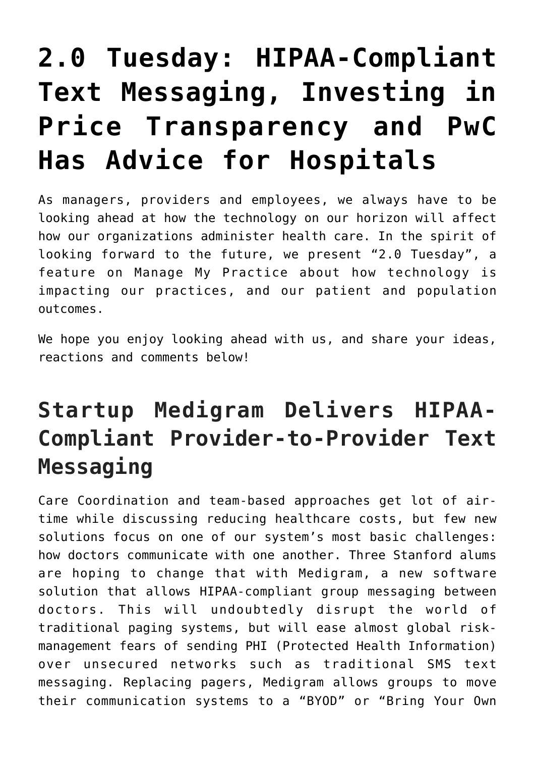# **[2.0 Tuesday: HIPAA-Compliant](https://managemypractice.com/2-0-tuesday-hipaa-compliant-text-messaging-investing-in-price-transparency-and-pwc-has-advice-for-hospitals/) [Text Messaging, Investing in](https://managemypractice.com/2-0-tuesday-hipaa-compliant-text-messaging-investing-in-price-transparency-and-pwc-has-advice-for-hospitals/) [Price Transparency and PwC](https://managemypractice.com/2-0-tuesday-hipaa-compliant-text-messaging-investing-in-price-transparency-and-pwc-has-advice-for-hospitals/) [Has Advice for Hospitals](https://managemypractice.com/2-0-tuesday-hipaa-compliant-text-messaging-investing-in-price-transparency-and-pwc-has-advice-for-hospitals/)**

As managers, providers and employees, we always have to be looking ahead at how the technology on our horizon will affect how our organizations administer health care. In the spirit of looking forward to the future, we present "2.0 Tuesday", a feature on Manage My Practice about how technology is impacting our practices, and our patient and population outcomes.

We hope you enjoy looking ahead with us, and share your ideas, reactions and comments below!

### **Startup Medigram Delivers HIPAA-Compliant Provider-to-Provider Text Messaging**

Care Coordination and team-based approaches get lot of airtime while discussing reducing healthcare costs, but few new solutions focus on one of our system's most basic challenges: how doctors communicate with one another. Three Stanford alums are hoping to change that with [Medigram](https://medigram.com/), a new software solution that allows HIPAA-compliant group messaging between doctors. This will undoubtedly disrupt the world of traditional paging systems, but will ease almost global riskmanagement fears of sending PHI (Protected Health Information) over unsecured networks such as traditional SMS text messaging. Replacing pagers, Medigram allows groups to move their communication systems to a "BYOD" or "Bring Your Own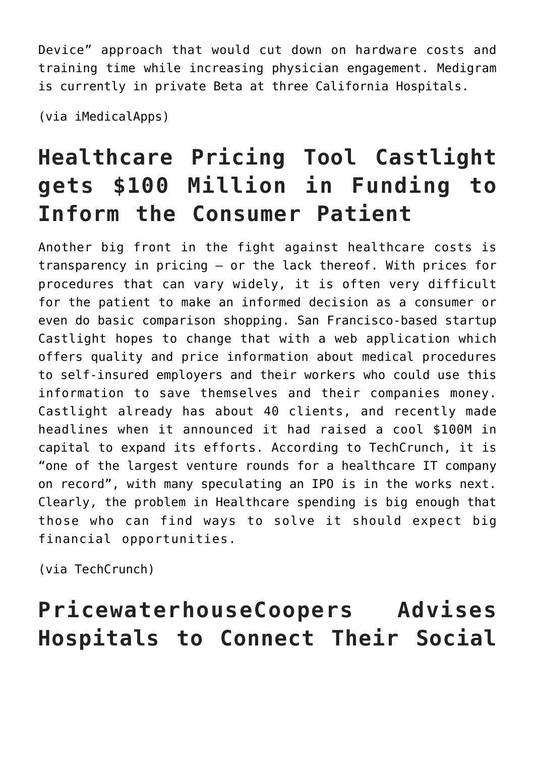Device" approach that would cut down on hardware costs and training time while increasing physician engagement. Medigram is currently in private Beta at three California Hospitals.

(via [iMedicalApps\)](http://www.imedicalapps.com/2012/04/medigram-app-hipaa-text-messaging-doctors/)

## **Healthcare Pricing Tool Castlight gets \$100 Million in Funding to Inform the Consumer Patient**

Another big front in the fight against healthcare costs is transparency in pricing – or the lack thereof. With prices for procedures that can vary widely, it is often very difficult for the patient to make an informed decision as a consumer or even do basic comparison shopping. San Francisco-based startup [Castlight](http://www.castlighthealth.com/) hopes to change that with a web application which offers quality and price information about medical procedures to self-insured employers and their workers who could use this information to save themselves and their companies money. Castlight already has about 40 clients, and recently made headlines when it announced it had raised a cool \$100M in capital to expand its efforts. According to TechCrunch, it is "one of the largest venture rounds for a healthcare IT company on record", with many speculating an IPO is in the works next. Clearly, the problem in Healthcare spending is big enough that those who can find ways to solve it should expect big financial opportunities.

(via [TechCrunch](http://techcrunch.com/2012/05/01/castlight-100m/))

### **PricewaterhouseCoopers Advises Hospitals to Connect Their Social**